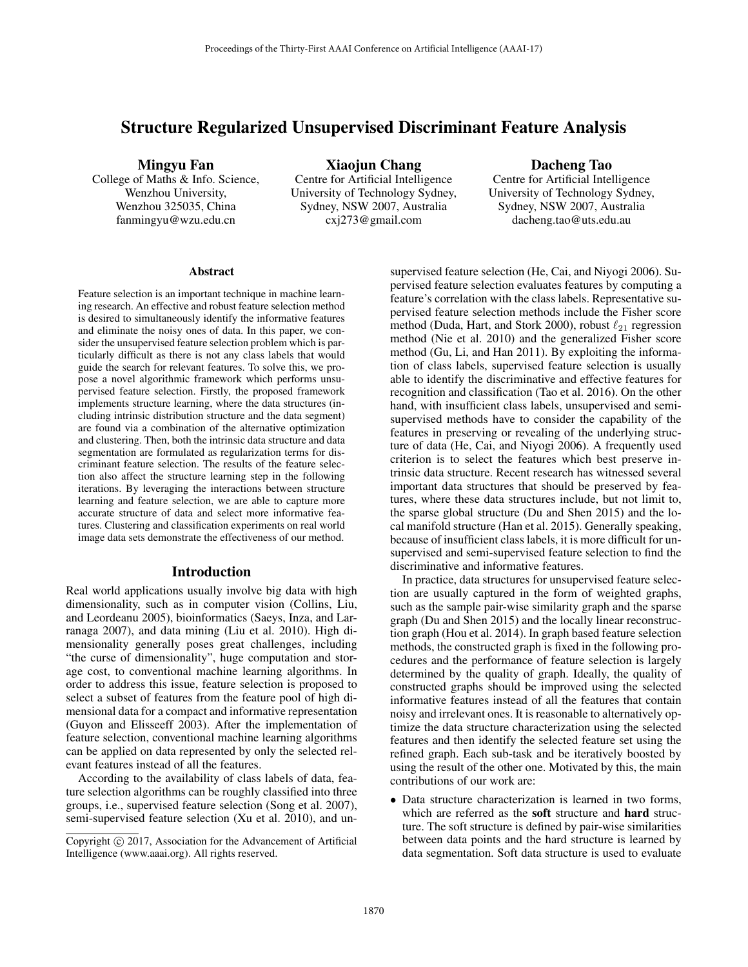# Structure Regularized Unsupervised Discriminant Feature Analysis

Mingyu Fan

College of Maths & Info. Science, Wenzhou University, Wenzhou 325035, China fanmingyu@wzu.edu.cn

Xiaojun Chang Centre for Artificial Intelligence University of Technology Sydney, Sydney, NSW 2007, Australia cxj273@gmail.com

Dacheng Tao

Centre for Artificial Intelligence University of Technology Sydney, Sydney, NSW 2007, Australia dacheng.tao@uts.edu.au

#### Abstract

Feature selection is an important technique in machine learning research. An effective and robust feature selection method is desired to simultaneously identify the informative features and eliminate the noisy ones of data. In this paper, we consider the unsupervised feature selection problem which is particularly difficult as there is not any class labels that would guide the search for relevant features. To solve this, we propose a novel algorithmic framework which performs unsupervised feature selection. Firstly, the proposed framework implements structure learning, where the data structures (including intrinsic distribution structure and the data segment) are found via a combination of the alternative optimization and clustering. Then, both the intrinsic data structure and data segmentation are formulated as regularization terms for discriminant feature selection. The results of the feature selection also affect the structure learning step in the following iterations. By leveraging the interactions between structure learning and feature selection, we are able to capture more accurate structure of data and select more informative features. Clustering and classification experiments on real world image data sets demonstrate the effectiveness of our method.

### Introduction

Real world applications usually involve big data with high dimensionality, such as in computer vision (Collins, Liu, and Leordeanu 2005), bioinformatics (Saeys, Inza, and Larranaga 2007), and data mining (Liu et al. 2010). High dimensionality generally poses great challenges, including "the curse of dimensionality", huge computation and storage cost, to conventional machine learning algorithms. In order to address this issue, feature selection is proposed to select a subset of features from the feature pool of high dimensional data for a compact and informative representation (Guyon and Elisseeff 2003). After the implementation of feature selection, conventional machine learning algorithms can be applied on data represented by only the selected relevant features instead of all the features.

According to the availability of class labels of data, feature selection algorithms can be roughly classified into three groups, i.e., supervised feature selection (Song et al. 2007), semi-supervised feature selection (Xu et al. 2010), and unsupervised feature selection (He, Cai, and Niyogi 2006). Supervised feature selection evaluates features by computing a feature's correlation with the class labels. Representative supervised feature selection methods include the Fisher score method (Duda, Hart, and Stork 2000), robust  $\ell_{21}$  regression method (Nie et al. 2010) and the generalized Fisher score method (Gu, Li, and Han 2011). By exploiting the information of class labels, supervised feature selection is usually able to identify the discriminative and effective features for recognition and classification (Tao et al. 2016). On the other hand, with insufficient class labels, unsupervised and semisupervised methods have to consider the capability of the features in preserving or revealing of the underlying structure of data (He, Cai, and Niyogi 2006). A frequently used criterion is to select the features which best preserve intrinsic data structure. Recent research has witnessed several important data structures that should be preserved by features, where these data structures include, but not limit to, the sparse global structure (Du and Shen 2015) and the local manifold structure (Han et al. 2015). Generally speaking, because of insufficient class labels, it is more difficult for unsupervised and semi-supervised feature selection to find the discriminative and informative features.

In practice, data structures for unsupervised feature selection are usually captured in the form of weighted graphs, such as the sample pair-wise similarity graph and the sparse graph (Du and Shen 2015) and the locally linear reconstruction graph (Hou et al. 2014). In graph based feature selection methods, the constructed graph is fixed in the following procedures and the performance of feature selection is largely determined by the quality of graph. Ideally, the quality of constructed graphs should be improved using the selected informative features instead of all the features that contain noisy and irrelevant ones. It is reasonable to alternatively optimize the data structure characterization using the selected features and then identify the selected feature set using the refined graph. Each sub-task and be iteratively boosted by using the result of the other one. Motivated by this, the main contributions of our work are:

Data structure characterization is learned in two forms, which are referred as the soft structure and hard structure. The soft structure is defined by pair-wise similarities between data points and the hard structure is learned by data segmentation. Soft data structure is used to evaluate

Copyright  $\odot$  2017, Association for the Advancement of Artificial Intelligence (www.aaai.org). All rights reserved.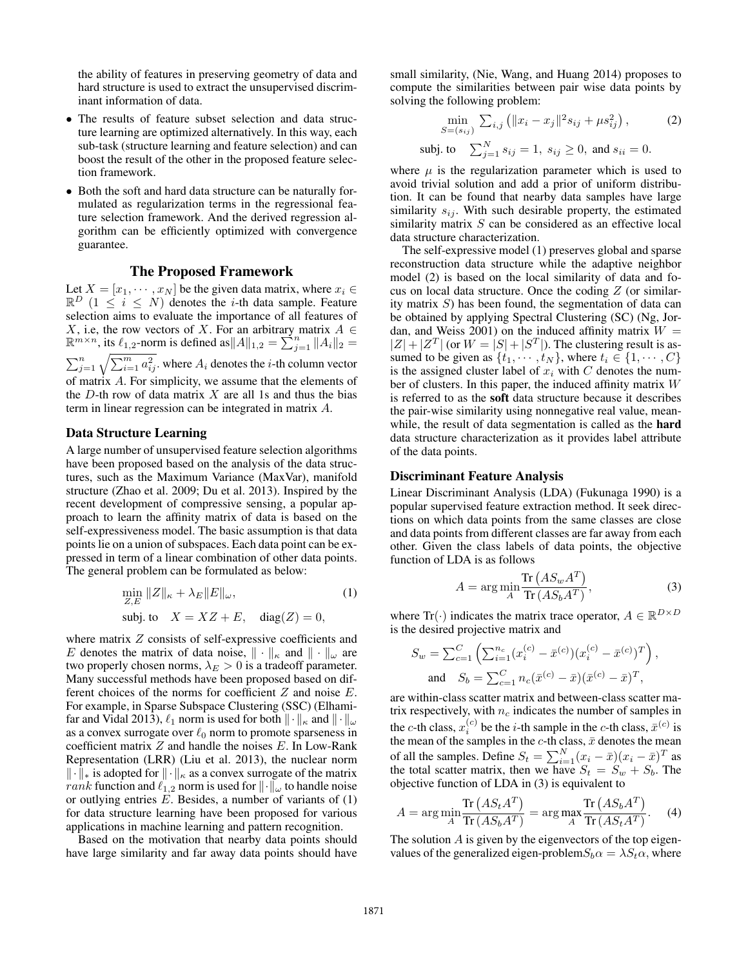the ability of features in preserving geometry of data and hard structure is used to extract the unsupervised discriminant information of data.

- The results of feature subset selection and data structure learning are optimized alternatively. In this way, each sub-task (structure learning and feature selection) and can boost the result of the other in the proposed feature selection framework.
- Both the soft and hard data structure can be naturally formulated as regularization terms in the regressional feature selection framework. And the derived regression algorithm can be efficiently optimized with convergence guarantee.

# The Proposed Framework

Let  $X = [x_1, \dots, x_N]$  be the given data matrix, where  $x_i \in \mathbb{R}^D$   $(1 \le i \le N)$  denotes the *i*-th data sample. Feature selection aims to evaluate the importance of all features of selection aims to evaluate the importance of all features of X, i.e, the row vectors of X. For an arbitrary matrix  $A \in \mathbb{R}^n$  $\mathbb{R}^{m \times n}$ , its  $\ell_{1,2}$ -norm is defined as  $||A||_{1,2} = \sum_{j=1}^{n}$  $\mathbb{R}^{m \times n}$ , its  $\ell_{1,2}$ -norm is defined as  $||A||_{1,2} = \sum_{j=1}^{n} ||A_i||_2 = \sum_{j=1}^{n} \sqrt{\sum_{i=1}^{m} a_{ij}^2}$ . where  $A_i$  denotes the *i*-th column vector of matrix A. For simplicity, we assume that the elements of the  $D$ -th row of data matrix  $X$  are all 1s and thus the bias term in linear regression can be integrated in matrix A.

#### Data Structure Learning

A large number of unsupervised feature selection algorithms have been proposed based on the analysis of the data structures, such as the Maximum Variance (MaxVar), manifold structure (Zhao et al. 2009; Du et al. 2013). Inspired by the recent development of compressive sensing, a popular approach to learn the affinity matrix of data is based on the self-expressiveness model. The basic assumption is that data points lie on a union of subspaces. Each data point can be expressed in term of a linear combination of other data points. The general problem can be formulated as below:

$$
\min_{Z,E} \|Z\|_{\kappa} + \lambda_E \|E\|_{\omega},
$$
\n
$$
\text{subj. to} \quad X = XZ + E, \quad \text{diag}(Z) = 0,
$$
\n
$$
(1)
$$

where matrix Z consists of self-expressive coefficients and E denotes the matrix of data noise,  $\|\cdot\|_{\kappa}$  and  $\|\cdot\|_{\omega}$  are two properly chosen norms,  $\lambda_E > 0$  is a tradeoff parameter. Many successful methods have been proposed based on different choices of the norms for coefficient Z and noise E. For example, in Sparse Subspace Clustering (SSC) (Elhamifar and Vidal 2013),  $\ell_1$  norm is used for both  $\|\cdot\|_{\kappa}$  and  $\|\cdot\|_{\omega}$ as a convex surrogate over  $\ell_0$  norm to promote sparseness in coefficient matrix  $Z$  and handle the noises  $E$ . In Low-Rank Representation (LRR) (Liu et al. 2013), the nuclear norm  $\|\cdot\|_*$  is adopted for  $\|\cdot\|_{\kappa}$  as a convex surrogate of the matrix rank function and  $\ell_{1,2}$  norm is used for  $\|\cdot\|_{\omega}$  to handle noise or outlying entries  $E$ . Besides, a number of variants of  $(1)$ for data structure learning have been proposed for various applications in machine learning and pattern recognition.

Based on the motivation that nearby data points should have large similarity and far away data points should have

small similarity, (Nie, Wang, and Huang 2014) proposes to compute the similarities between pair wise data points by solving the following problem:

$$
\min_{S=(s_{ij})} \sum_{i,j} (||x_i - x_j||^2 s_{ij} + \mu s_{ij}^2),
$$
\n(2)

\nsubj. to  $\sum_{j=1}^{N} s_{ij} = 1, s_{ij} \geq 0$ , and  $s_{ii} = 0$ .

where  $\mu$  is the regularization parameter which is used to avoid trivial solution and add a prior of uniform distribution. It can be found that nearby data samples have large similarity  $s_{ij}$ . With such desirable property, the estimated similarity matrix S can be considered as an effective local data structure characterization.

The self-expressive model (1) preserves global and sparse reconstruction data structure while the adaptive neighbor model (2) is based on the local similarity of data and focus on local data structure. Once the coding Z (or similarity matrix S) has been found, the segmentation of data can be obtained by applying Spectral Clustering (SC) (Ng, Jordan, and Weiss 2001) on the induced affinity matrix  $W =$ dan, and Weiss 2001) on the induced affinity matrix  $W = |Z| + |Z^T|$  (or  $W = |S| + |S^T|$ ) The clustering result is as- $|Z| + |Z^T|$  (or  $W = |S| + |S^T|$ ). The clustering result is as-<br>sumed to be given as  $\{t_1, \dots, t_N\}$  where  $t_i \in \{1, \dots, C\}$ sumed to be given as  $\{t_1, \dots, t_N\}$ , where  $t_i \in \{1, \dots, C\}$ is the assigned cluster label of  $x_i$  with C denotes the number of clusters. In this paper, the induced affinity matrix W is referred to as the soft data structure because it describes the pair-wise similarity using nonnegative real value, meanwhile, the result of data segmentation is called as the **hard** data structure characterization as it provides label attribute of the data points.

### Discriminant Feature Analysis

Linear Discriminant Analysis (LDA) (Fukunaga 1990) is a popular supervised feature extraction method. It seek directions on which data points from the same classes are close and data points from different classes are far away from each other. Given the class labels of data points, the objective function of LDA is as follows

$$
A = \arg\min_{A} \frac{\text{Tr}\left(AS_w A^T\right)}{\text{Tr}\left(AS_b A^T\right)},\tag{3}
$$

where  $\text{Tr}(\cdot)$  indicates the matrix trace operator,  $A \in \mathbb{R}^{D \times D}$ <br>is the desired projective matrix and is the desired projective matrix and

$$
S_w = \sum_{c=1}^{C} \left( \sum_{i=1}^{n_c} (x_i^{(c)} - \bar{x}^{(c)}) (x_i^{(c)} - \bar{x}^{(c)})^T \right),
$$
  
and 
$$
S_b = \sum_{c=1}^{C} n_c (\bar{x}^{(c)} - \bar{x}) (\bar{x}^{(c)} - \bar{x})^T,
$$

are within-class scatter matrix and between-class scatter matrix respectively, with  $n_c$  indicates the number of samples in the c-th class,  $x_i^{(c)}$  be the *i*-th sample in the c-th class,  $\bar{x}^{(c)}$  is<br>the mean of the samples in the c-th class  $\bar{x}$  denotes the mean the mean of the samples in the c-th class,  $\bar{x}$  denotes the mean<br>of all the samples. Define  $S = \sum_{n=1}^{N} (x_n - \bar{x}) (x_n - \bar{x})^T$  as of all the samples. Define  $S_t = \sum_{i=1}^{N} (x_i - \bar{x})(x_i - \bar{x})^T$  as<br>the total scatter matrix then we have  $S_t = S_{t+1} + S_t$ . The the total scatter matrix, then we have  $S_t = S_w + S_b$ . The objective function of LDA in (3) is equivalent to objective function of LDA in (3) is equivalent to

$$
A = \arg\min_{A} \frac{\text{Tr}\left(AS_t A^T\right)}{\text{Tr}\left(AS_b A^T\right)} = \arg\max_{A} \frac{\text{Tr}\left(AS_b A^T\right)}{\text{Tr}\left(AS_t A^T\right)}.
$$
 (4)  
The solution A is given by the eigenvectors of the top eigen-

values of the generalized eigen-problem $S_b \alpha = \lambda S_t \alpha$ , where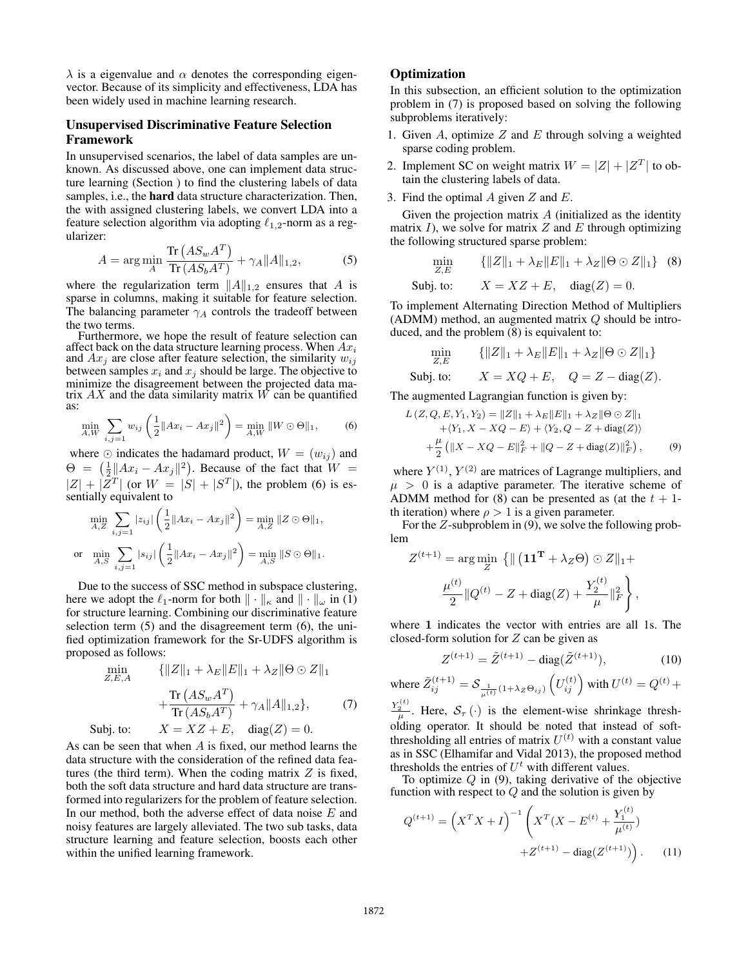$\lambda$  is a eigenvalue and  $\alpha$  denotes the corresponding eigenvector. Because of its simplicity and effectiveness, LDA has been widely used in machine learning research.

### Unsupervised Discriminative Feature Selection Framework

In unsupervised scenarios, the label of data samples are unknown. As discussed above, one can implement data structure learning (Section ) to find the clustering labels of data samples, i.e., the hard data structure characterization. Then, the with assigned clustering labels, we convert LDA into a feature selection algorithm via adopting  $\ell_{1,2}$ -norm as a regularizer:

$$
A = \arg\min_{A} \frac{\text{Tr}\left(AS_wA^T\right)}{\text{Tr}\left(AS_bA^T\right)} + \gamma_A \|A\|_{1,2},\tag{5}
$$

where the regularization term  $||A||_{1,2}$  ensures that A is sparse in columns, making it suitable for feature selection. The balancing parameter  $\gamma_A$  controls the tradeoff between the two terms.

Furthermore, we hope the result of feature selection can affect back on the data structure learning process. When  $Ax_i$ and  $Ax_j$  are close after feature selection, the similarity  $w_{ij}$ between samples  $x_i$  and  $x_j$  should be large. The objective to minimize the disagreement between the projected data matrix  $AX$  and the data similarity matrix  $W$  can be quantified as:

$$
\min_{A,W} \sum_{i,j=1} w_{ij} \left( \frac{1}{2} \|Ax_i - Ax_j\|^2 \right) = \min_{A,W} \|W \odot \Theta\|_1,\tag{6}
$$

where  $\odot$  indicates the hadamard product,  $W = (w_{ij})$  and  $\Theta = \left(\frac{1}{2} \|Ax_i - Ax_j\|^2\right)$ . Because of the fact that  $W = |Z| + |Z|$  (or  $W = |S| + |ST|$ ) the problem (6) is eq.  $|Z| + |Z^T|$  (or  $W = |S| + |S^T|$ ), the problem (6) is essentially equivalent to

$$
\min_{A,Z} \sum_{i,j=1} |z_{ij}| \left( \frac{1}{2} ||Ax_i - Ax_j||^2 \right) = \min_{A,Z} ||Z \odot \Theta||_1,
$$
  
or 
$$
\min_{A,S} \sum_{i,j=1} |s_{ij}| \left( \frac{1}{2} ||Ax_i - Ax_j||^2 \right) = \min_{A,S} ||S \odot \Theta||_1.
$$

Due to the success of SSC method in subspace clustering, here we adopt the  $\ell_1$ -norm for both  $\|\cdot\|_{\kappa}$  and  $\|\cdot\|_{\omega}$  in (1) for structure learning. Combining our discriminative feature selection term (5) and the disagreement term (6), the unified optimization framework for the Sr-UDFS algorithm is proposed as follows:

$$
\min_{Z,E,A} \{||Z||_1 + \lambda_E ||E||_1 + \lambda_Z ||\Theta \odot Z||_1 + \frac{\text{Tr}(AS_wA^T)}{\text{Tr}(AS_bA^T)} + \gamma_A ||A||_{1,2}\},\tag{7}
$$
\nbi to:

\n
$$
X = XZ + E \quad \text{diag}(Z) = 0
$$

Subj. to:  $X = XZ + E$ , diag(Z) = 0. As can be seen that when A is fixed, our method learns the data structure with the consideration of the refined data features (the third term). When the coding matrix  $Z$  is fixed, both the soft data structure and hard data structure are transformed into regularizers for the problem of feature selection. In our method, both the adverse effect of data noise  $E$  and noisy features are largely alleviated. The two sub tasks, data structure learning and feature selection, boosts each other within the unified learning framework.

# **Optimization**

In this subsection, an efficient solution to the optimization problem in (7) is proposed based on solving the following subproblems iteratively:

- 1. Given A, optimize  $Z$  and  $E$  through solving a weighted sparse coding problem.
- 2. Implement SC on weight matrix  $W = |Z| + |Z^T|$  to obtain the clustering labels of data.
- 3. Find the optimal  $A$  given  $Z$  and  $E$ .

Given the projection matrix  $A$  (initialized as the identity matrix  $I$ ), we solve for matrix  $Z$  and  $E$  through optimizing the following structured sparse problem:

$$
\min_{Z,E} \qquad \{||Z||_1 + \lambda_E ||E||_1 + \lambda_Z ||\Theta \odot Z||_1\} \quad (8)
$$
  
Subject: 
$$
X = XZ + E, \quad \text{diag}(Z) = 0.
$$

To implement Alternating Direction Method of Multipliers (ADMM) method, an augmented matrix  $Q$  should be introduced, and the problem (8) is equivalent to:

$$
\min_{Z,E} \{ ||Z||_1 + \lambda_E ||E||_1 + \lambda_Z ||\Theta \odot Z||_1 \}
$$
  
Subject: 
$$
X = XQ + E, \quad Q = Z - \text{diag}(Z).
$$
  
The augmented Lagrangian function is given by:

$$
L(Z, Q, E, Y_1, Y_2) = ||Z||_1 + \lambda_E ||E||_1 + \lambda_Z ||\Theta \odot Z||_1
$$
  
+  $\langle Y_1, X - XQ - E \rangle + \langle Y_2, Q - Z + \text{diag}(Z) \rangle$   
+  $\frac{\mu}{2} (||X - XQ - E||_F^2 + ||Q - Z + \text{diag}(Z)||_F^2),$  (9)

where  $Y^{(1)}$ ,  $Y^{(2)}$  are matrices of Lagrange multipliers, and  $\mu > 0$  is a adaptive parameter. The iterative scheme of ADMM method for (8) can be presented as (at the  $t + 1$ th iteration) where  $\rho > 1$  is a given parameter.

For the Z-subproblem in (9), we solve the following problem

$$
Z^{(t+1)} = \arg\min_{Z} \{ \| (\mathbf{11}^{T} + \lambda_{Z}\Theta) \odot Z \|_{1} +
$$

$$
\frac{\mu^{(t)}}{2} \| Q^{(t)} - Z + \text{diag}(Z) + \frac{Y_{2}^{(t)}}{\mu} \|_{F}^{2} \},
$$

where **1** indicates the vector with entries are all 1s. The closed-form solution for  $Z$  can be given as

$$
Z^{(t+1)} = \tilde{Z}^{(t+1)} - \text{diag}(\tilde{Z}^{(t+1)}),\tag{10}
$$

where 
$$
\tilde{Z}_{ij}^{(t+1)} = S_{\frac{1}{\mu(t)}(1+\lambda_Z \Theta_{ij})} \left( U_{ij}^{(t)} \right)
$$
 with  $U^{(t)} = Q^{(t)} +$ 

 $\frac{Y_2^{(t)}}{\mu}$ . Here,  $S_{\tau}(\cdot)$  is the element-wise shrinkage thresholding operator. It should be noted that instead of softthresholding all entries of matrix  $U^{(t)}$  with a constant value as in SSC (Elhamifar and Vidal 2013), the proposed method thresholds the entries of  $U<sup>t</sup>$  with different values.

To optimize  $Q$  in (9), taking derivative of the objective function with respect to  $Q$  and the solution is given by

$$
Q^{(t+1)} = \left(X^T X + I\right)^{-1} \left(X^T (X - E^{(t)} + \frac{Y_1^{(t)}}{\mu^{(t)}}) + Z^{(t+1)} - \text{diag}(Z^{(t+1)})\right). \tag{11}
$$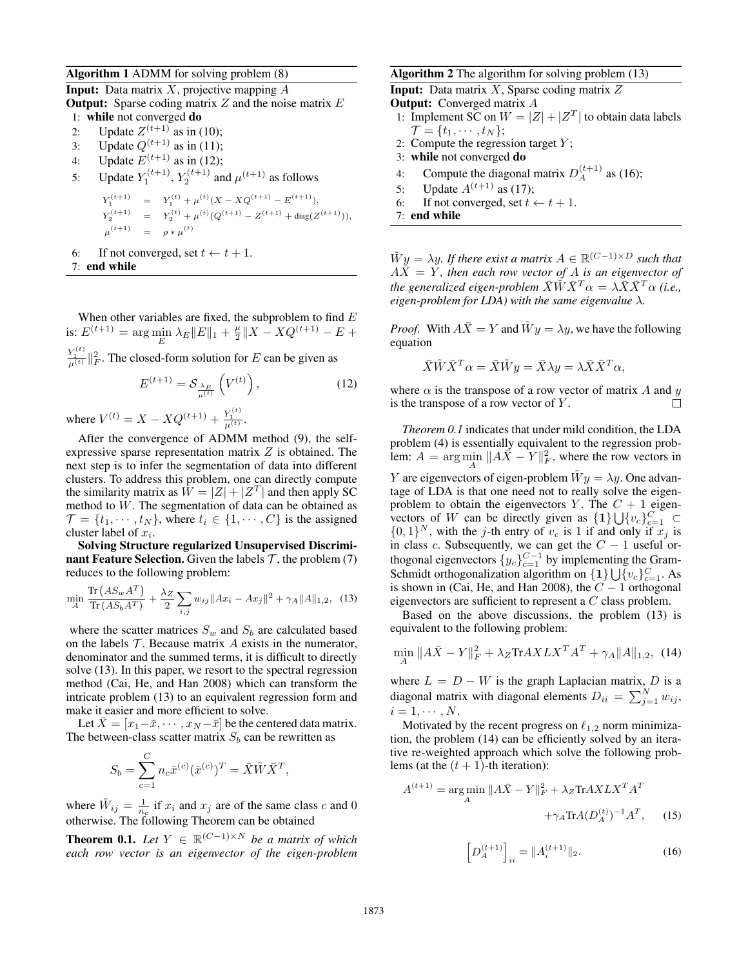#### Algorithm 1 ADMM for solving problem (8)

**Input:** Data matrix  $X$ , projective mapping  $A$ **Output:** Sparse coding matrix  $Z$  and the noise matrix  $E$ 1: while not converged do 2: Update  $Z^{(t+1)}$  as in (10); 3: Update  $Q^{(t+1)}$  as in (11); 4: Update  $E^{(t+1)}$  as in (12); 5: Update  $Y_1^{(t+1)}$ ,  $Y_2^{(t+1)}$  and  $\mu^{(t+1)}$  as follows  $Y_1^{(t+1)} = Y_1^{(t)} + \mu^{(t)}(X - XQ^{(t+1)} - E^{(t+1)}),$  $Y_2^{(t+1)} = Y_2^{(t)} + \mu^{(t)}(Q^{(t+1)} - Z^{(t+1)} + \text{diag}(Z^{(t+1)})),$  $\mu^{(t+1)} = \rho * \mu^{(t)}$ 6: If not converged, set  $t \leftarrow t + 1$ . 7: end while

When other variables are fixed, the subproblem to find  $E$ is:  $E^{(t+1)} = \arg \min_{E} \lambda_E ||E||_1 + \frac{\mu}{2} ||X - XQ^{(t+1)} - E +$ 

 $\frac{Y_1^{(t)}}{\mu^{(t)}}$  || $^2_F$ . The closed-form solution for E can be given as

$$
E^{(t+1)} = \mathcal{S}_{\frac{\lambda_E}{\mu^{(t)}}} \left( V^{(t)} \right), \tag{12}
$$

where  $V^{(t)} = X - XQ^{(t+1)} + \frac{Y_1^{(t)}}{\mu^{(t)}}$ .

After the convergence of ADMM method (9), the selfexpressive sparse representation matrix  $Z$  is obtained. The next step is to infer the segmentation of data into different clusters. To address this problem, one can directly compute the similarity matrix as  $W = |Z| + |Z^T|$  and then apply SC method to W. The segmentation of data can be obtained as  $\mathcal{T} = \{t_1, \dots, t_N\}$ , where  $t_i \in \{1, \dots, C\}$  is the assigned cluster label of  $x_i$ .

Solving Structure regularized Unsupervised Discriminant Feature Selection. Given the labels  $T$ , the problem (7) reduces to the following problem:

$$
\min_{A} \frac{\text{Tr}\left(AS_{w}A^{T}\right)}{\text{Tr}\left(AS_{b}A^{T}\right)} + \frac{\lambda_{Z}}{2} \sum_{i,j} w_{ij} \|Ax_{i} - Ax_{j}\|^{2} + \gamma_{A} \|A\|_{1,2}, \quad (13)
$$

where the scatter matrices  $S_w$  and  $S_b$  are calculated based on the labels  $T$ . Because matrix  $A$  exists in the numerator, denominator and the summed terms, it is difficult to directly solve (13). In this paper, we resort to the spectral regression method (Cai, He, and Han 2008) which can transform the intricate problem (13) to an equivalent regression form and make it easier and more efficient to solve.

Let  $\bar{X} = [x_1 - \bar{x}, \cdots, x_N - \bar{x}]$  be the centered data matrix. The between-class scatter matrix  $S_b$  can be rewritten as

$$
S_b = \sum_{c=1}^{C} n_c \bar{x}^{(c)} (\bar{x}^{(c)})^T = \bar{X} \tilde{W} \bar{X}^T,
$$

where  $\tilde{W}_{ij} = \frac{1}{n_c}$  if  $x_i$  and  $x_j$  are of the same class c and 0 otherwise. The following Theorem can be obtained

**Theorem 0.1.** *Let*  $Y$  ∈  $\mathbb{R}^{(C-1)\times N}$  *be a matrix of which each row vector is an eigenvector of the eigen-problem*

### Algorithm 2 The algorithm for solving problem (13)

**Input:** Data matrix  $X$ , Sparse coding matrix  $Z$ **Output:** Converged matrix A 1: Implement SC on  $W = |Z| + |Z^T|$  to obtain data labels  $\mathcal{T} = \{t_1, \cdots, t_N\};$ 2: Compute the regression target  $Y$ ; 3: while not converged do 4: Compute the diagonal matrix  $D_A^{(t+1)}$  as (16); 5: Update  $A^{(t+1)}$  as (17);

6: If not converged, set  $t \leftarrow t + 1$ .

7: end while

 $\tilde{W}y = \lambda y$ *. If there exist a matrix*  $A \in \mathbb{R}^{(C-1)\times D}$  *such that*  $A\bar{X} = Y$ , then each row vector of A is an eigenvector of *the generalized eigen-problem*  $\bar{X}\tilde{W}\bar{X}^T\alpha = \lambda \bar{X}\bar{X}^T\alpha$  *(i.e., eigen-problem for LDA) with the same eigenvalue* λ*.*

*Proof.* With  $A\overline{X} = Y$  and  $\widetilde{W}y = \lambda y$ , we have the following equation

$$
\bar{X}\tilde{W}\bar{X}^T\alpha = \bar{X}\tilde{W}y = \bar{X}\lambda y = \lambda \bar{X}\bar{X}^T\alpha,
$$

where  $\alpha$  is the transpose of a row vector of matrix A and y is the transpose of a row vector of  $Y$ .  $\Box$ 

*Theorem 0.1* indicates that under mild condition, the LDA problem (4) is essentially equivalent to the regression problem:  $A = \arg \min_{A} \|A\vec{X} - Y\|_{F}^{2}$ , where the row vectors in Y are eigenvectors of eigen-problem  $\tilde{W}y = \lambda y$ . One advantage of LDA is that one need not to really solve the eigenproblem to obtain the eigenvectors Y. The  $C + 1$  eigenvectors of W can be directly given as  $\{1\} \bigcup \{v_c\}_{c=1}^C$  $\{0, 1\}^N$ , with the *j*-th entry of  $v_c$  is 1 if and only if  $x_j$  is in class c. Subsequently, we can get the  $C - 1$  useful orthogonal eigenvectors  ${y_c}_{c=1}^{C-1}$  by implementing the Gram-Schmidt orthogonalization algorithm on  $\{1\} \bigcup \{v_c\}_{c=1}^C$ . As is shown in (Cai, He, and Han 2008), the  $C - 1$  orthogonal eigenvectors are sufficient to represent a C class problem.

Based on the above discussions, the problem (13) is equivalent to the following problem:

$$
\min_{A} \|A\bar{X} - Y\|_{F}^{2} + \lambda_{Z} \text{Tr}AXLX^{T}A^{T} + \gamma_{A} \|A\|_{1,2}, \quad (14)
$$

where  $L = D - W$  is the graph Laplacian matrix, D is a diagonal matrix with diagonal elements  $D_{ii} = \sum_{j=1}^{N} w_{ij}$ ,  $i = 1, \cdots, N$ .

Motivated by the recent progress on  $\ell_{1,2}$  norm minimization, the problem (14) can be efficiently solved by an iterative re-weighted approach which solve the following problems (at the  $(t + 1)$ -th iteration):

$$
A^{(t+1)} = \underset{A}{\arg\min} \ \|A\bar{X} - Y\|_F^2 + \lambda_Z \text{Tr}AXLX^T A^T
$$

$$
+ \gamma_A \text{Tr}A(D_A^{(t)})^{-1} A^T, \qquad (15)
$$

$$
\left[D_A^{(t+1)}\right]_{ii} = \|A_i^{(t+1)}\|_2.
$$
 (16)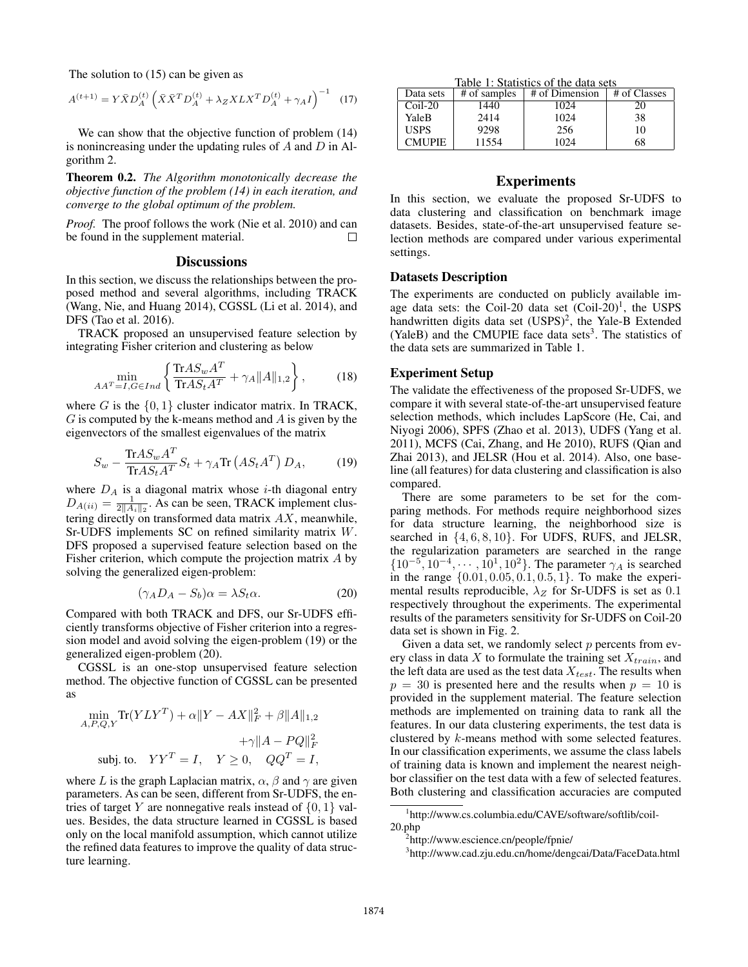The solution to (15) can be given as

$$
A^{(t+1)} = Y\bar{X}D_A^{(t)} \left( \bar{X}\bar{X}^T D_A^{(t)} + \lambda_Z X L X^T D_A^{(t)} + \gamma_A I \right)^{-1}
$$
 (17)

We can show that the objective function of problem  $(14)$ is nonincreasing under the updating rules of  $A$  and  $D$  in Algorithm 2.

Theorem 0.2. *The Algorithm monotonically decrease the objective function of the problem (14) in each iteration, and converge to the global optimum of the problem.*

*Proof.* The proof follows the work (Nie et al. 2010) and can be found in the supplement material.  $\Box$ 

### **Discussions**

In this section, we discuss the relationships between the proposed method and several algorithms, including TRACK (Wang, Nie, and Huang 2014), CGSSL (Li et al. 2014), and DFS (Tao et al. 2016).

TRACK proposed an unsupervised feature selection by integrating Fisher criterion and clustering as below

$$
\min_{AA^T=I, G \in Ind} \left\{ \frac{\text{Tr}AS_w A^T}{\text{Tr}AS_t A^T} + \gamma_A \|A\|_{1,2} \right\},\tag{18}
$$

where G is the  $\{0, 1\}$  cluster indicator matrix. In TRACK,  $G$  is computed by the k-means method and  $\ddot{A}$  is given by the eigenvectors of the smallest eigenvalues of the matrix

$$
S_w - \frac{\text{Tr}AS_w A^T}{\text{Tr}AS_t A^T} S_t + \gamma_A \text{Tr}\left(AS_t A^T\right) D_A, \tag{19}
$$

where  $D_A$  is a diagonal matrix whose *i*-th diagonal entry  $D_{A(ii)} = \frac{1}{2||A_i||_2}$ . As can be seen, TRACK implement clustering directly on transformed data matrix  $AX$ , meanwhile, Sr-UDFS implements SC on refined similarity matrix W. DFS proposed a supervised feature selection based on the Fisher criterion, which compute the projection matrix A by solving the generalized eigen-problem:

$$
(\gamma_A D_A - S_b)\alpha = \lambda S_t \alpha.
$$
 (20)

Compared with both TRACK and DFS, our Sr-UDFS efficiently transforms objective of Fisher criterion into a regression model and avoid solving the eigen-problem (19) or the generalized eigen-problem (20).

CGSSL is an one-stop unsupervised feature selection method. The objective function of CGSSL can be presented as

$$
\min_{A, P, Q, Y} \text{Tr}(YLY^T) + \alpha ||Y - AX||_F^2 + \beta ||A||_{1,2}
$$

$$
+ \gamma ||A - PQ||_F^2
$$
subj. to.  $YY^T = I, \quad Y \ge 0, \quad QQ^T = I,$ 

where L is the graph Laplacian matrix,  $\alpha$ ,  $\beta$  and  $\gamma$  are given parameters. As can be seen, different from Sr-UDFS, the entries of target Y are nonnegative reals instead of  $\{0, 1\}$  values. Besides, the data structure learned in CGSSL is based only on the local manifold assumption, which cannot utilize the refined data features to improve the quality of data structure learning.

Table 1: Statistics of the data sets

| Data sets     | # of samples | # of Dimension | # of Classes |
|---------------|--------------|----------------|--------------|
| $Coil-20$     | 1440         | 1024           | 20           |
| YaleB         | 2414         | 1024           | 38           |
| <b>USPS</b>   | 9298         | 256            | 10           |
| <b>CMUPIE</b> | 11554        | 1024           | 68           |

# Experiments

In this section, we evaluate the proposed Sr-UDFS to data clustering and classification on benchmark image datasets. Besides, state-of-the-art unsupervised feature selection methods are compared under various experimental settings.

#### Datasets Description

The experiments are conducted on publicly available image data sets: the Coil-20 data set  $(Coil-20)<sup>1</sup>$ , the USPS handwritten digits data set (USPS)<sup>2</sup>, the Yale-B Extended (YaleB) and the CMUPIE face data sets<sup>3</sup>. The statistics of the data sets are summarized in Table 1.

### Experiment Setup

The validate the effectiveness of the proposed Sr-UDFS, we compare it with several state-of-the-art unsupervised feature selection methods, which includes LapScore (He, Cai, and Niyogi 2006), SPFS (Zhao et al. 2013), UDFS (Yang et al. 2011), MCFS (Cai, Zhang, and He 2010), RUFS (Qian and Zhai 2013), and JELSR (Hou et al. 2014). Also, one baseline (all features) for data clustering and classification is also compared.

There are some parameters to be set for the comparing methods. For methods require neighborhood sizes for data structure learning, the neighborhood size is searched in  $\{4, 6, 8, 10\}$ . For UDFS, RUFS, and JELSR, the regularization parameters are searched in the range  $\{10^{-5}, 10^{-4}, \dots, 10^{1}, 10^{2}\}\.$  The parameter  $\gamma_A$  is searched in the range  $\{0.01, 0.05, 0.1, 0.5, 1\}$ . To make the experimental results reproducible,  $\lambda_Z$  for Sr-UDFS is set as 0.1 respectively throughout the experiments. The experimental results of the parameters sensitivity for Sr-UDFS on Coil-20 data set is shown in Fig. 2.

Given a data set, we randomly select  $p$  percents from every class in data  $X$  to formulate the training set  $X_{train}$ , and the left data are used as the test data  $X_{test}$ . The results when  $p = 30$  is presented here and the results when  $p = 10$  is provided in the supplement material. The feature selection methods are implemented on training data to rank all the features. In our data clustering experiments, the test data is clustered by k-means method with some selected features. In our classification experiments, we assume the class labels of training data is known and implement the nearest neighbor classifier on the test data with a few of selected features. Both clustering and classification accuracies are computed

<sup>1</sup> http://www.cs.columbia.edu/CAVE/software/softlib/coil-20.php

<sup>2</sup> http://www.escience.cn/people/fpnie/

<sup>3</sup> http://www.cad.zju.edu.cn/home/dengcai/Data/FaceData.html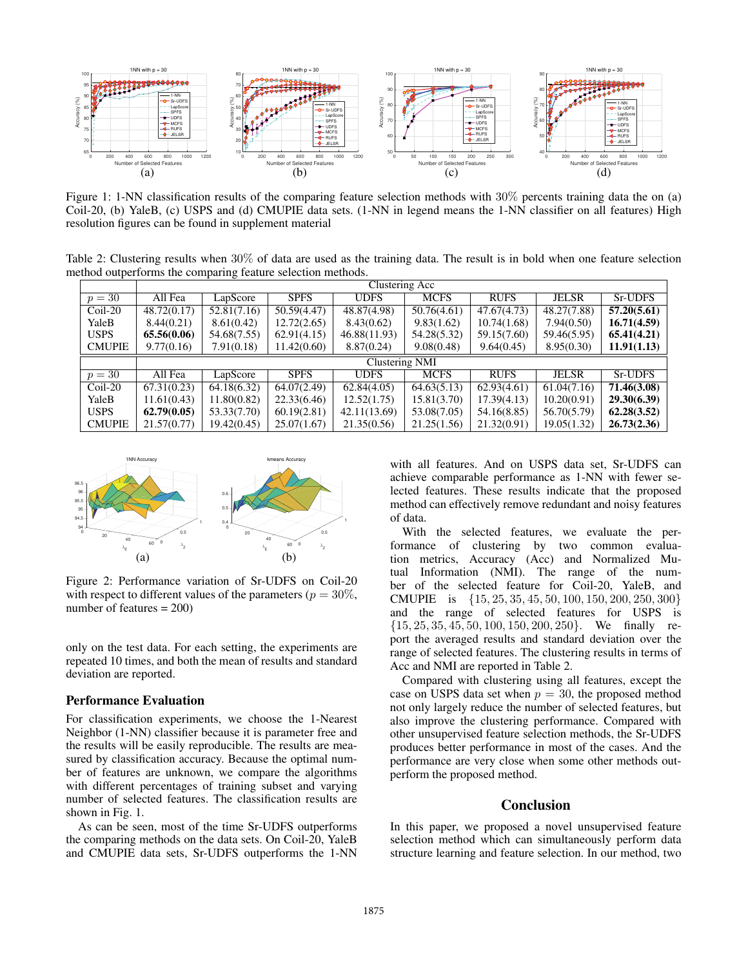

Figure 1: 1-NN classification results of the comparing feature selection methods with 30% percents training data the on (a) Coil-20, (b) YaleB, (c) USPS and (d) CMUPIE data sets. (1-NN in legend means the 1-NN classifier on all features) High resolution figures can be found in supplement material

Table 2: Clustering results when 30% of data are used as the training data. The result is in bold when one feature selection method outperforms the comparing feature selection methods.

|               | Clustering Acc |             |             |              |             |             |              |             |  |  |
|---------------|----------------|-------------|-------------|--------------|-------------|-------------|--------------|-------------|--|--|
| $p=30$        | All Fea        | LapScore    | <b>SPFS</b> | <b>UDFS</b>  | <b>MCFS</b> | <b>RUFS</b> | <b>JELSR</b> | Sr-UDFS     |  |  |
| $Coil-20$     | 48.72(0.17)    | 52.81(7.16) | 50.59(4.47) | 48.87(4.98)  | 50.76(4.61) | 47.67(4.73) | 48.27(7.88)  | 57,20(5.61) |  |  |
| YaleB         | 8.44(0.21)     | 8.61(0.42)  | 12.72(2.65) | 8.43(0.62)   | 9.83(1.62)  | 10.74(1.68) | 7.94(0.50)   | 16.71(4.59) |  |  |
| <b>USPS</b>   | 65.56(0.06)    | 54.68(7.55) | 62.91(4.15) | 46.88(11.93) | 54.28(5.32) | 59.15(7.60) | 59.46(5.95)  | 65.41(4.21) |  |  |
| <b>CMUPIE</b> | 9.77(0.16)     | 7.91(0.18)  | 11.42(0.60) | 8.87(0.24)   | 9.08(0.48)  | 9.64(0.45)  | 8.95(0.30)   | 11.91(1.13) |  |  |
|               | Clustering NMI |             |             |              |             |             |              |             |  |  |
|               |                |             |             |              |             |             |              |             |  |  |
| $p=30$        | All Fea        | LapScore    | <b>SPFS</b> | <b>UDFS</b>  | <b>MCFS</b> | <b>RUFS</b> | <b>JELSR</b> | Sr-UDFS     |  |  |
| Coil-20       | 67.31(0.23)    | 64.18(6.32) | 64.07(2.49) | 62.84(4.05)  | 64.63(5.13) | 62.93(4.61) | 61.04(7.16)  | 71.46(3.08) |  |  |
| YaleB         | 11.61(0.43)    | 11.80(0.82) | 22.33(6.46) | 12.52(1.75)  | 15.81(3.70) | 17.39(4.13) | 10.20(0.91)  | 29.30(6.39) |  |  |
| <b>USPS</b>   | 62,79(0.05)    | 53.33(7.70) | 60.19(2.81) | 42.11(13.69) | 53.08(7.05) | 54.16(8.85) | 56.70(5.79)  | 62.28(3.52) |  |  |



Figure 2: Performance variation of Sr-UDFS on Coil-20 with respect to different values of the parameters ( $p = 30\%$ , number of features  $= 200$ )

only on the test data. For each setting, the experiments are repeated 10 times, and both the mean of results and standard deviation are reported.

### Performance Evaluation

For classification experiments, we choose the 1-Nearest Neighbor (1-NN) classifier because it is parameter free and the results will be easily reproducible. The results are measured by classification accuracy. Because the optimal number of features are unknown, we compare the algorithms with different percentages of training subset and varying number of selected features. The classification results are shown in Fig. 1.

As can be seen, most of the time Sr-UDFS outperforms the comparing methods on the data sets. On Coil-20, YaleB and CMUPIE data sets, Sr-UDFS outperforms the 1-NN

with all features. And on USPS data set, Sr-UDFS can achieve comparable performance as 1-NN with fewer selected features. These results indicate that the proposed method can effectively remove redundant and noisy features of data.

With the selected features, we evaluate the performance of clustering by two common evaluation metrics, Accuracy (Acc) and Normalized Mutual Information (NMI). The range of the number of the selected feature for Coil-20, YaleB, and CMUPIE is {15, 25, 35, 45, 50, 100, 150, 200, 250, 300} and the range of selected features for USPS is  $\{15, 25, 35, 45, 50, 100, 150, 200, 250\}$ . We finally report the averaged results and standard deviation over the range of selected features. The clustering results in terms of Acc and NMI are reported in Table 2.

Compared with clustering using all features, except the case on USPS data set when  $p = 30$ , the proposed method not only largely reduce the number of selected features, but also improve the clustering performance. Compared with other unsupervised feature selection methods, the Sr-UDFS produces better performance in most of the cases. And the performance are very close when some other methods outperform the proposed method.

# Conclusion

In this paper, we proposed a novel unsupervised feature selection method which can simultaneously perform data structure learning and feature selection. In our method, two